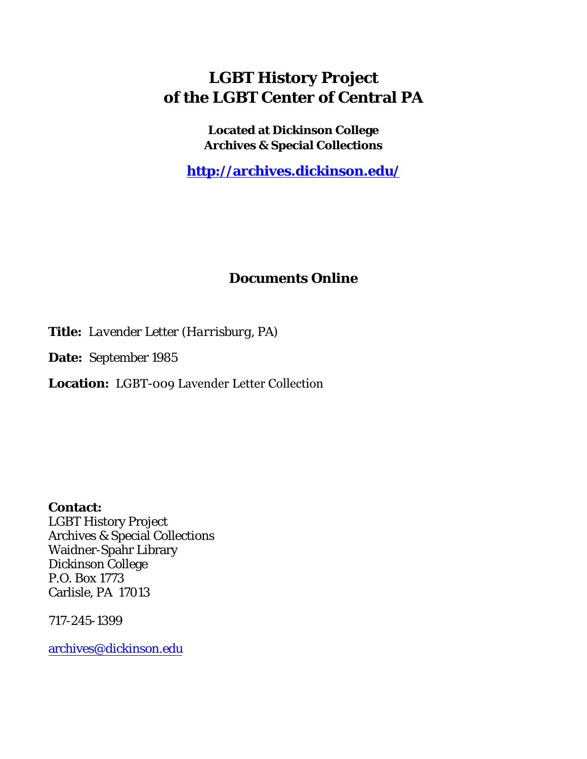## **LGBT History Project of the LGBT Center of Central PA**

**Located at Dickinson College Archives & Special Collections**

**<http://archives.dickinson.edu/>**

## **Documents Online**

**Title:** *Lavender Letter (Harrisburg, PA)*

**Date:** September 1985

**Location:** LGBT-009 Lavender Letter Collection

**Contact:**  LGBT History Project Archives & Special Collections Waidner-Spahr Library Dickinson College P.O. Box 1773 Carlisle, PA 17013

717-245-1399

[archives@dickinson.edu](mailto:archives@dickinson.edu)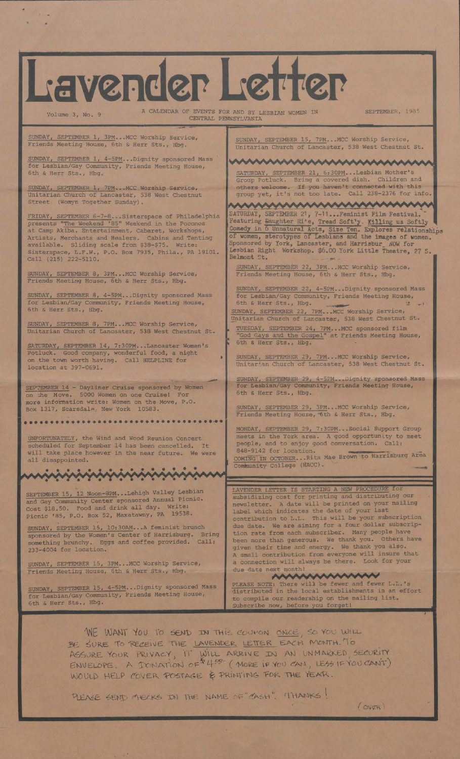

SUNDAY, SEPTEMBER 15, 4-5PM...Dignity sponsored Mass for Lesbian/Gay Community, Friends Meeting House, 6th & Herr Sts., Hbg.

PLEASE NOTE: There will be fewer and fewer L.L.'s distributed in the local establishments in an effort to compile our readership on the mailing list. Subscribe now, before you forget!

WE WANT YOU TO SEND IN THIS COUPON ONCE SO YOU WILL BE SURE TO RECEIVE THE LAVENDER LETTER EACH MONTH. TO ASSURE YOUR PRIVACY, IT WILL ARRIVE IN AN UNMAKKED SECURITY ENVELOPE A TYMATION  $oE^{\frac{1}{2}}4^{eg}$  (MOKE IF YOU CAN , LESS IF YOU CANT) WOULD HELP COVER POSTAGE & PRINTING FOR THE YEAR.

PLEASE SEND THECKS IN THE NAME OF " TASH", IT HANKS!

OVGR